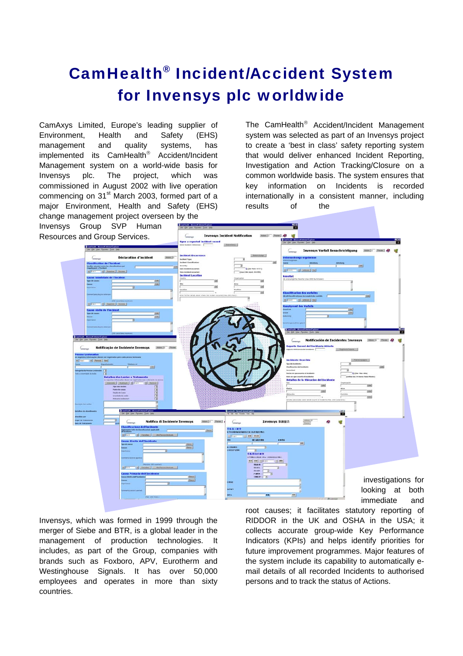## CamHealth® Incident/Accident System for Invensys plc worldwide

CamAxys Limited, Europe's leading supplier of Environment, Health and Safety (EHS) management and quality systems, has implemented its CamHealth® Accident/Incident Management system on a world-wide basis for Invensys plc. The project, which was commissioned in August 2002 with live operation commencing on 31<sup>st</sup> March 2003, formed part of a major Environment, Health and Safety (EHS) change management project overseen by the

The CamHealth® Accident/Incident Management system was selected as part of an Invensys project to create a 'best in class' safety reporting system that would deliver enhanced Incident Reporting, Investigation and Action Tracking/Closure on a common worldwide basis. The system ensures that key information on Incidents is recorded internationally in a consistent manner, including results of the



Invensys, which was formed in 1999 through the merger of Siebe and BTR, is a global leader in the management of production technologies. It includes, as part of the Group, companies with brands such as Foxboro, APV, Eurotherm and Westinghouse Signals. It has over 50,000 employees and operates in more than sixty countries.

root causes; it facilitates statutory reporting of RIDDOR in the UK and OSHA in the USA; it collects accurate group-wide Key Performance Indicators (KPIs) and helps identify priorities for future improvement programmes. Major features of the system include its capability to automatically email details of all recorded Incidents to authorised persons and to track the status of Actions.